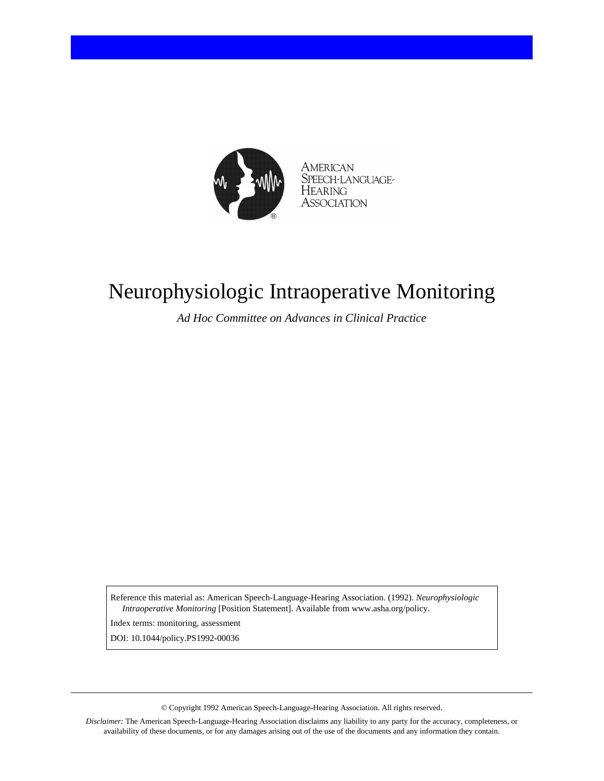

AMERICAN SPEECH-LANGUAGE-HEARING **ASSOCIATION** 

## Neurophysiologic Intraoperative Monitoring

*Ad Hoc Committee on Advances in Clinical Practice*

Reference this material as: American Speech-Language-Hearing Association. (1992). *Neurophysiologic Intraoperative Monitoring* [Position Statement]. Available from www.asha.org/policy.

Index terms: monitoring, assessment

DOI: 10.1044/policy.PS1992-00036

© Copyright 1992 American Speech-Language-Hearing Association. All rights reserved.

*Disclaimer:* The American Speech-Language-Hearing Association disclaims any liability to any party for the accuracy, completeness, or availability of these documents, or for any damages arising out of the use of the documents and any information they contain.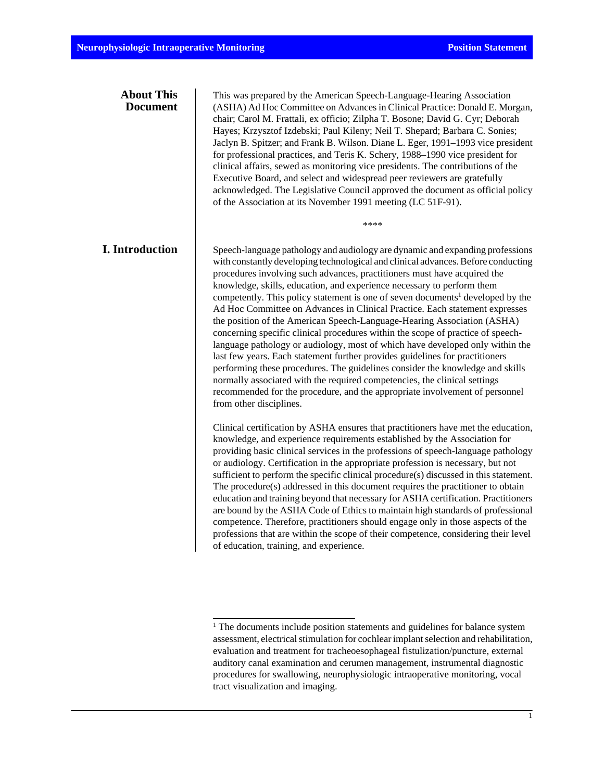| <b>About This</b><br><b>Document</b> | This was prepared by the American Speech-Language-Hearing Association<br>(ASHA) Ad Hoc Committee on Advances in Clinical Practice: Donald E. Morgan,<br>chair; Carol M. Frattali, ex officio; Zilpha T. Bosone; David G. Cyr; Deborah<br>Hayes; Krzysztof Izdebski; Paul Kileny; Neil T. Shepard; Barbara C. Sonies;<br>Jaclyn B. Spitzer; and Frank B. Wilson. Diane L. Eger, 1991-1993 vice president<br>for professional practices, and Teris K. Schery, 1988-1990 vice president for<br>clinical affairs, sewed as monitoring vice presidents. The contributions of the<br>Executive Board, and select and widespread peer reviewers are gratefully<br>acknowledged. The Legislative Council approved the document as official policy<br>of the Association at its November 1991 meeting (LC 51F-91).                                                                                                                                                                                                                                                                                                    |
|--------------------------------------|--------------------------------------------------------------------------------------------------------------------------------------------------------------------------------------------------------------------------------------------------------------------------------------------------------------------------------------------------------------------------------------------------------------------------------------------------------------------------------------------------------------------------------------------------------------------------------------------------------------------------------------------------------------------------------------------------------------------------------------------------------------------------------------------------------------------------------------------------------------------------------------------------------------------------------------------------------------------------------------------------------------------------------------------------------------------------------------------------------------|
|                                      | ****                                                                                                                                                                                                                                                                                                                                                                                                                                                                                                                                                                                                                                                                                                                                                                                                                                                                                                                                                                                                                                                                                                         |
| <b>I. Introduction</b>               | Speech-language pathology and audiology are dynamic and expanding professions<br>with constantly developing technological and clinical advances. Before conducting<br>procedures involving such advances, practitioners must have acquired the<br>knowledge, skills, education, and experience necessary to perform them<br>competently. This policy statement is one of seven documents <sup>1</sup> developed by the<br>Ad Hoc Committee on Advances in Clinical Practice. Each statement expresses<br>the position of the American Speech-Language-Hearing Association (ASHA)<br>concerning specific clinical procedures within the scope of practice of speech-<br>language pathology or audiology, most of which have developed only within the<br>last few years. Each statement further provides guidelines for practitioners<br>performing these procedures. The guidelines consider the knowledge and skills<br>normally associated with the required competencies, the clinical settings<br>recommended for the procedure, and the appropriate involvement of personnel<br>from other disciplines. |
|                                      | Clinical certification by ASHA ensures that practitioners have met the education,<br>knowledge, and experience requirements established by the Association for<br>providing basic clinical services in the professions of speech-language pathology<br>or audiology. Certification in the appropriate profession is necessary, but not<br>sufficient to perform the specific clinical procedure(s) discussed in this statement.<br>The procedure(s) addressed in this document requires the practitioner to obtain<br>education and training beyond that necessary for ASHA certification. Practitioners<br>are bound by the ASHA Code of Ethics to maintain high standards of professional<br>competence. Therefore, practitioners should engage only in those aspects of the<br>professions that are within the scope of their competence, considering their level<br>of education, training, and experience.                                                                                                                                                                                              |

<sup>&</sup>lt;sup>1</sup> The documents include position statements and guidelines for balance system assessment, electrical stimulation for cochlear implant selection and rehabilitation, evaluation and treatment for tracheoesophageal fistulization/puncture, external auditory canal examination and cerumen management, instrumental diagnostic procedures for swallowing, neurophysiologic intraoperative monitoring, vocal tract visualization and imaging.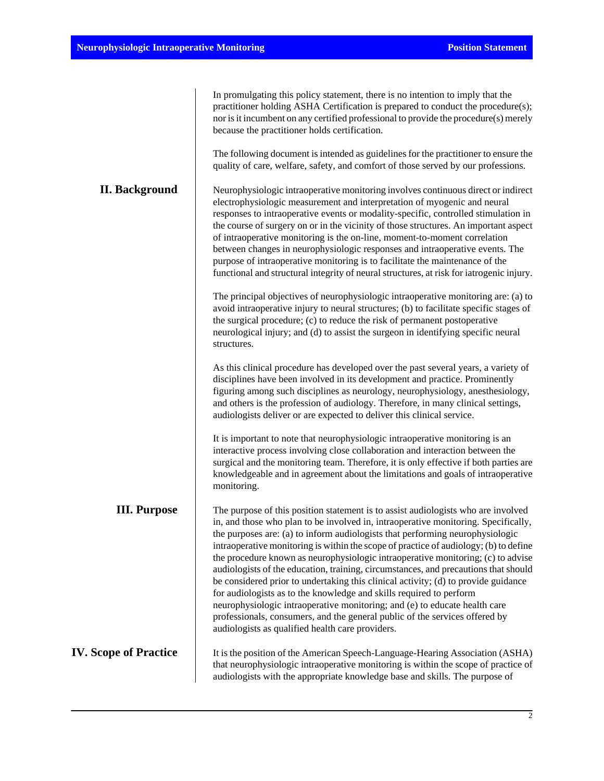|                              | In promulgating this policy statement, there is no intention to imply that the<br>practitioner holding ASHA Certification is prepared to conduct the procedure(s);<br>nor is it incumbent on any certified professional to provide the procedure(s) merely<br>because the practitioner holds certification.                                                                                                                                                                                                                                                                                                                                                                                                                                                                                                                                                                                                |
|------------------------------|------------------------------------------------------------------------------------------------------------------------------------------------------------------------------------------------------------------------------------------------------------------------------------------------------------------------------------------------------------------------------------------------------------------------------------------------------------------------------------------------------------------------------------------------------------------------------------------------------------------------------------------------------------------------------------------------------------------------------------------------------------------------------------------------------------------------------------------------------------------------------------------------------------|
|                              | The following document is intended as guidelines for the practitioner to ensure the<br>quality of care, welfare, safety, and comfort of those served by our professions.                                                                                                                                                                                                                                                                                                                                                                                                                                                                                                                                                                                                                                                                                                                                   |
| <b>II. Background</b>        | Neurophysiologic intraoperative monitoring involves continuous direct or indirect<br>electrophysiologic measurement and interpretation of myogenic and neural<br>responses to intraoperative events or modality-specific, controlled stimulation in<br>the course of surgery on or in the vicinity of those structures. An important aspect<br>of intraoperative monitoring is the on-line, moment-to-moment correlation<br>between changes in neurophysiologic responses and intraoperative events. The<br>purpose of intraoperative monitoring is to facilitate the maintenance of the<br>functional and structural integrity of neural structures, at risk for iatrogenic injury.                                                                                                                                                                                                                       |
|                              | The principal objectives of neurophysiologic intraoperative monitoring are: (a) to<br>avoid intraoperative injury to neural structures; (b) to facilitate specific stages of<br>the surgical procedure; (c) to reduce the risk of permanent postoperative<br>neurological injury; and (d) to assist the surgeon in identifying specific neural<br>structures.                                                                                                                                                                                                                                                                                                                                                                                                                                                                                                                                              |
|                              | As this clinical procedure has developed over the past several years, a variety of<br>disciplines have been involved in its development and practice. Prominently<br>figuring among such disciplines as neurology, neurophysiology, anesthesiology,<br>and others is the profession of audiology. Therefore, in many clinical settings,<br>audiologists deliver or are expected to deliver this clinical service.                                                                                                                                                                                                                                                                                                                                                                                                                                                                                          |
|                              | It is important to note that neurophysiologic intraoperative monitoring is an<br>interactive process involving close collaboration and interaction between the<br>surgical and the monitoring team. Therefore, it is only effective if both parties are<br>knowledgeable and in agreement about the limitations and goals of intraoperative<br>monitoring.                                                                                                                                                                                                                                                                                                                                                                                                                                                                                                                                                 |
| <b>III.</b> Purpose          | The purpose of this position statement is to assist audiologists who are involved<br>in, and those who plan to be involved in, intraoperative monitoring. Specifically,<br>the purposes are: (a) to inform audiologists that performing neurophysiologic<br>intraoperative monitoring is within the scope of practice of audiology; (b) to define<br>the procedure known as neurophysiologic intraoperative monitoring; (c) to advise<br>audiologists of the education, training, circumstances, and precautions that should<br>be considered prior to undertaking this clinical activity; (d) to provide guidance<br>for audiologists as to the knowledge and skills required to perform<br>neurophysiologic intraoperative monitoring; and (e) to educate health care<br>professionals, consumers, and the general public of the services offered by<br>audiologists as qualified health care providers. |
| <b>IV. Scope of Practice</b> | It is the position of the American Speech-Language-Hearing Association (ASHA)<br>that neurophysiologic intraoperative monitoring is within the scope of practice of<br>audiologists with the appropriate knowledge base and skills. The purpose of                                                                                                                                                                                                                                                                                                                                                                                                                                                                                                                                                                                                                                                         |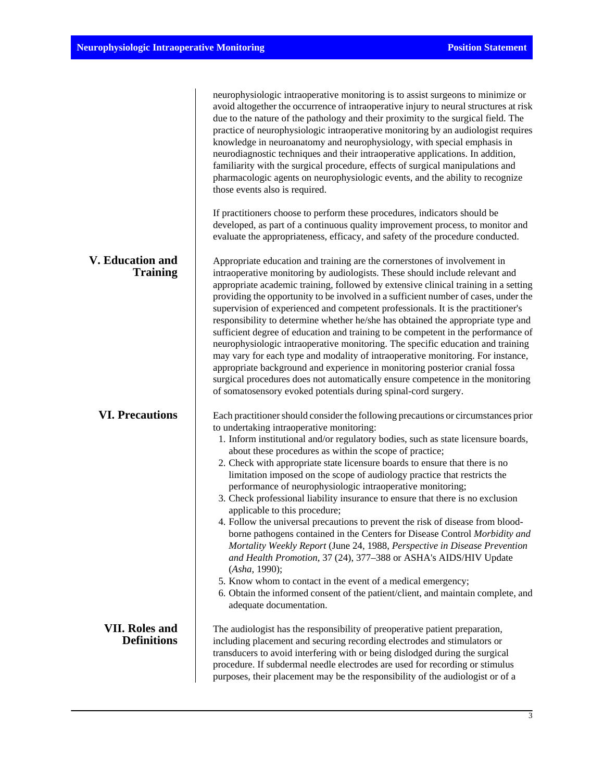|                                             | neurophysiologic intraoperative monitoring is to assist surgeons to minimize or<br>avoid altogether the occurrence of intraoperative injury to neural structures at risk<br>due to the nature of the pathology and their proximity to the surgical field. The<br>practice of neurophysiologic intraoperative monitoring by an audiologist requires<br>knowledge in neuroanatomy and neurophysiology, with special emphasis in<br>neurodiagnostic techniques and their intraoperative applications. In addition,<br>familiarity with the surgical procedure, effects of surgical manipulations and<br>pharmacologic agents on neurophysiologic events, and the ability to recognize<br>those events also is required.                                                                                                                                                                                                                                                                                                                                                                                                                         |
|---------------------------------------------|----------------------------------------------------------------------------------------------------------------------------------------------------------------------------------------------------------------------------------------------------------------------------------------------------------------------------------------------------------------------------------------------------------------------------------------------------------------------------------------------------------------------------------------------------------------------------------------------------------------------------------------------------------------------------------------------------------------------------------------------------------------------------------------------------------------------------------------------------------------------------------------------------------------------------------------------------------------------------------------------------------------------------------------------------------------------------------------------------------------------------------------------|
|                                             | If practitioners choose to perform these procedures, indicators should be<br>developed, as part of a continuous quality improvement process, to monitor and<br>evaluate the appropriateness, efficacy, and safety of the procedure conducted.                                                                                                                                                                                                                                                                                                                                                                                                                                                                                                                                                                                                                                                                                                                                                                                                                                                                                                |
| <b>V. Education and</b><br><b>Training</b>  | Appropriate education and training are the cornerstones of involvement in<br>intraoperative monitoring by audiologists. These should include relevant and<br>appropriate academic training, followed by extensive clinical training in a setting<br>providing the opportunity to be involved in a sufficient number of cases, under the<br>supervision of experienced and competent professionals. It is the practitioner's<br>responsibility to determine whether he/she has obtained the appropriate type and<br>sufficient degree of education and training to be competent in the performance of<br>neurophysiologic intraoperative monitoring. The specific education and training<br>may vary for each type and modality of intraoperative monitoring. For instance,<br>appropriate background and experience in monitoring posterior cranial fossa<br>surgical procedures does not automatically ensure competence in the monitoring<br>of somatosensory evoked potentials during spinal-cord surgery.                                                                                                                                |
| <b>VI. Precautions</b>                      | Each practitioner should consider the following precautions or circumstances prior<br>to undertaking intraoperative monitoring:<br>1. Inform institutional and/or regulatory bodies, such as state licensure boards,<br>about these procedures as within the scope of practice;<br>2. Check with appropriate state licensure boards to ensure that there is no<br>limitation imposed on the scope of audiology practice that restricts the<br>performance of neurophysiologic intraoperative monitoring;<br>3. Check professional liability insurance to ensure that there is no exclusion<br>applicable to this procedure;<br>4. Follow the universal precautions to prevent the risk of disease from blood-<br>borne pathogens contained in the Centers for Disease Control Morbidity and<br>Mortality Weekly Report (June 24, 1988, Perspective in Disease Prevention<br>and Health Promotion, 37 (24), 377-388 or ASHA's AIDS/HIV Update<br>(Asha, 1990);<br>5. Know whom to contact in the event of a medical emergency;<br>6. Obtain the informed consent of the patient/client, and maintain complete, and<br>adequate documentation. |
| <b>VII. Roles and</b><br><b>Definitions</b> | The audiologist has the responsibility of preoperative patient preparation,<br>including placement and securing recording electrodes and stimulators or<br>transducers to avoid interfering with or being dislodged during the surgical<br>procedure. If subdermal needle electrodes are used for recording or stimulus<br>purposes, their placement may be the responsibility of the audiologist or of a                                                                                                                                                                                                                                                                                                                                                                                                                                                                                                                                                                                                                                                                                                                                    |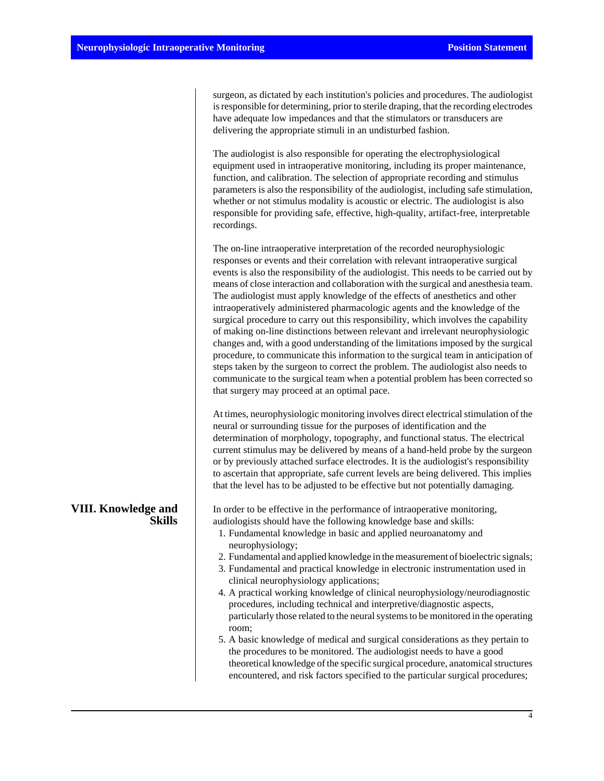surgeon, as dictated by each institution's policies and procedures. The audiologist is responsible for determining, prior to sterile draping, that the recording electrodes have adequate low impedances and that the stimulators or transducers are delivering the appropriate stimuli in an undisturbed fashion.

The audiologist is also responsible for operating the electrophysiological equipment used in intraoperative monitoring, including its proper maintenance, function, and calibration. The selection of appropriate recording and stimulus parameters is also the responsibility of the audiologist, including safe stimulation, whether or not stimulus modality is acoustic or electric. The audiologist is also responsible for providing safe, effective, high-quality, artifact-free, interpretable recordings.

The on-line intraoperative interpretation of the recorded neurophysiologic responses or events and their correlation with relevant intraoperative surgical events is also the responsibility of the audiologist. This needs to be carried out by means of close interaction and collaboration with the surgical and anesthesia team. The audiologist must apply knowledge of the effects of anesthetics and other intraoperatively administered pharmacologic agents and the knowledge of the surgical procedure to carry out this responsibility, which involves the capability of making on-line distinctions between relevant and irrelevant neurophysiologic changes and, with a good understanding of the limitations imposed by the surgical procedure, to communicate this information to the surgical team in anticipation of steps taken by the surgeon to correct the problem. The audiologist also needs to communicate to the surgical team when a potential problem has been corrected so that surgery may proceed at an optimal pace.

At times, neurophysiologic monitoring involves direct electrical stimulation of the neural or surrounding tissue for the purposes of identification and the determination of morphology, topography, and functional status. The electrical current stimulus may be delivered by means of a hand-held probe by the surgeon or by previously attached surface electrodes. It is the audiologist's responsibility to ascertain that appropriate, safe current levels are being delivered. This implies that the level has to be adjusted to be effective but not potentially damaging.

In order to be effective in the performance of intraoperative monitoring, audiologists should have the following knowledge base and skills:

- 1. Fundamental knowledge in basic and applied neuroanatomy and neurophysiology;
- 2. Fundamental and applied knowledge in the measurement of bioelectric signals;
- 3. Fundamental and practical knowledge in electronic instrumentation used in clinical neurophysiology applications;
- 4. A practical working knowledge of clinical neurophysiology/neurodiagnostic procedures, including technical and interpretive/diagnostic aspects, particularly those related to the neural systems to be monitored in the operating room;
- 5. A basic knowledge of medical and surgical considerations as they pertain to the procedures to be monitored. The audiologist needs to have a good theoretical knowledge of the specific surgical procedure, anatomical structures encountered, and risk factors specified to the particular surgical procedures;

## **VIII. Knowledge and Skills**